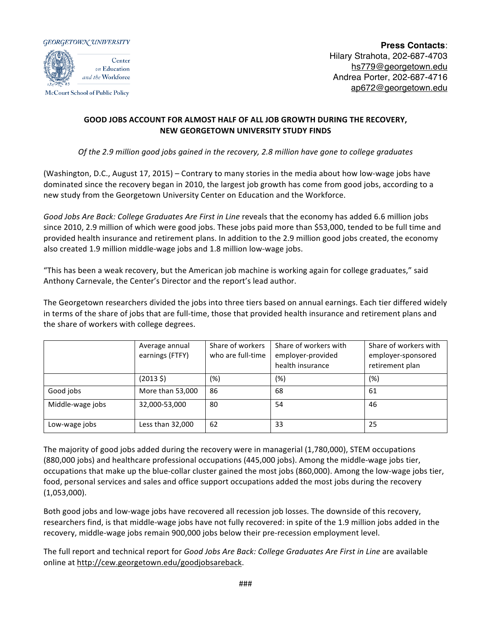



McCourt School of Public Policy

**Press Contacts**: Hilary Strahota, 202-687-4703 hs779@georgetown.edu Andrea Porter, 202-687-4716 ap672@georgetown.edu

## **GOOD JOBS ACCOUNT FOR ALMOST HALF OF ALL JOB GROWTH DURING THE RECOVERY, NEW GEORGETOWN UNIVERSITY STUDY FINDS**

*Of* the 2.9 million good jobs gained in the recovery, 2.8 million have gone to college graduates

(Washington, D.C., August 17, 2015) – Contrary to many stories in the media about how low-wage jobs have dominated since the recovery began in 2010, the largest job growth has come from good jobs, according to a new study from the Georgetown University Center on Education and the Workforce.

Good Jobs Are Back: College Graduates Are First in Line reveals that the economy has added 6.6 million jobs since 2010, 2.9 million of which were good jobs. These jobs paid more than \$53,000, tended to be full time and provided health insurance and retirement plans. In addition to the 2.9 million good jobs created, the economy also created 1.9 million middle-wage jobs and 1.8 million low-wage jobs.

"This has been a weak recovery, but the American job machine is working again for college graduates," said Anthony Carnevale, the Center's Director and the report's lead author.

The Georgetown researchers divided the jobs into three tiers based on annual earnings. Each tier differed widely in terms of the share of jobs that are full-time, those that provided health insurance and retirement plans and the share of workers with college degrees.

|                  | Average annual<br>earnings (FTFY) | Share of workers<br>who are full-time | Share of workers with<br>employer-provided<br>health insurance | Share of workers with<br>employer-sponsored<br>retirement plan |
|------------------|-----------------------------------|---------------------------------------|----------------------------------------------------------------|----------------------------------------------------------------|
|                  | $(2013 \; \zeta)$                 | (%)                                   | (%)                                                            | (%)                                                            |
| Good jobs        | More than 53,000                  | 86                                    | 68                                                             | 61                                                             |
| Middle-wage jobs | 32,000-53,000                     | 80                                    | 54                                                             | 46                                                             |
| Low-wage jobs    | Less than 32,000                  | 62                                    | 33                                                             | 25                                                             |

The majority of good jobs added during the recovery were in managerial (1,780,000), STEM occupations (880,000 jobs) and healthcare professional occupations (445,000 jobs). Among the middle-wage jobs tier, occupations that make up the blue-collar cluster gained the most jobs (860,000). Among the low-wage jobs tier, food, personal services and sales and office support occupations added the most jobs during the recovery (1,053,000).

Both good jobs and low-wage jobs have recovered all recession job losses. The downside of this recovery, researchers find, is that middle-wage jobs have not fully recovered: in spite of the 1.9 million jobs added in the recovery, middle-wage jobs remain 900,000 jobs below their pre-recession employment level.

The full report and technical report for *Good Jobs Are Back: College Graduates Are First in Line* are available online at http://cew.georgetown.edu/goodjobsareback.